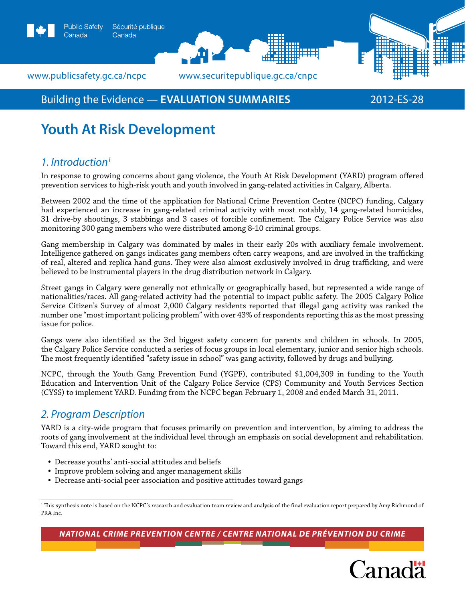

Canada

## Building the Evidence — **EVALUATION SUMMARIES** 2012-ES-28

# **Youth At Risk Development**

## *1. Introduction1*

In response to growing concerns about gang violence, the Youth At Risk Development (YARD) program offered prevention services to high-risk youth and youth involved in gang-related activities in Calgary, Alberta.

Between 2002 and the time of the application for National Crime Prevention Centre (NCPC) funding, Calgary had experienced an increase in gang-related criminal activity with most notably, 14 gang-related homicides, 31 drive-by shootings, 3 stabbings and 3 cases of forcible confinement. The Calgary Police Service was also monitoring 300 gang members who were distributed among 8-10 criminal groups.

Gang membership in Calgary was dominated by males in their early 20s with auxiliary female involvement. Intelligence gathered on gangs indicates gang members often carry weapons, and are involved in the trafficking of real, altered and replica hand guns. They were also almost exclusively involved in drug trafficking, and were believed to be instrumental players in the drug distribution network in Calgary.

Street gangs in Calgary were generally not ethnically or geographically based, but represented a wide range of nationalities/races. All gang-related activity had the potential to impact public safety. The 2005 Calgary Police Service Citizen's Survey of almost 2,000 Calgary residents reported that illegal gang activity was ranked the number one "most important policing problem" with over 43% of respondents reporting this as the most pressing issue for police.

Gangs were also identified as the 3rd biggest safety concern for parents and children in schools. In 2005, the Calgary Police Service conducted a series of focus groups in local elementary, junior and senior high schools. The most frequently identified "safety issue in school" was gang activity, followed by drugs and bullying.

NCPC, through the Youth Gang Prevention Fund (YGPF), contributed \$1,004,309 in funding to the Youth Education and Intervention Unit of the Calgary Police Service (CPS) Community and Youth Services Section (CYSS) to implement YARD. Funding from the NCPC began February 1, 2008 and ended March 31, 2011.

## *2. Program Description*

YARD is a city-wide program that focuses primarily on prevention and intervention, by aiming to address the roots of gang involvement at the individual level through an emphasis on social development and rehabilitation. Toward this end, YARD sought to:

- Decrease youths' anti-social attitudes and beliefs
- Improve problem solving and anger management skills
- Decrease anti-social peer association and positive attitudes toward gangs

*National Crime Prevention Centre / centre national de prévention du crime*



<sup>1</sup> This synthesis note is based on the NCPC's research and evaluation team review and analysis of the final evaluation report prepared by Amy Richmond of PRA Inc.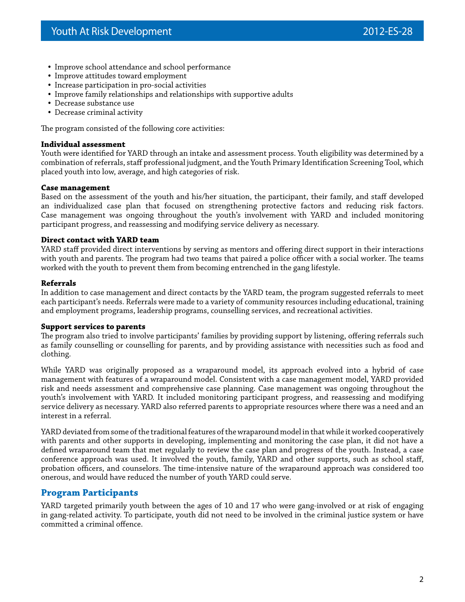- Improve school attendance and school performance
- Improve attitudes toward employment
- Increase participation in pro-social activities
- Improve family relationships and relationships with supportive adults
- Decrease substance use
- Decrease criminal activity

The program consisted of the following core activities:

#### **Individual assessment**

Youth were identified for YARD through an intake and assessment process. Youth eligibility was determined by a combination of referrals, staff professional judgment, and the Youth Primary Identification Screening Tool, which placed youth into low, average, and high categories of risk.

#### **Case management**

Based on the assessment of the youth and his/her situation, the participant, their family, and staff developed an individualized case plan that focused on strengthening protective factors and reducing risk factors. Case management was ongoing throughout the youth's involvement with YARD and included monitoring participant progress, and reassessing and modifying service delivery as necessary.

#### **Direct contact with YARD team**

YARD staff provided direct interventions by serving as mentors and offering direct support in their interactions with youth and parents. The program had two teams that paired a police officer with a social worker. The teams worked with the youth to prevent them from becoming entrenched in the gang lifestyle.

#### **Referrals**

In addition to case management and direct contacts by the YARD team, the program suggested referrals to meet each participant's needs. Referrals were made to a variety of community resources including educational, training and employment programs, leadership programs, counselling services, and recreational activities.

#### **Support services to parents**

The program also tried to involve participants' families by providing support by listening, offering referrals such as family counselling or counselling for parents, and by providing assistance with necessities such as food and clothing.

While YARD was originally proposed as a wraparound model, its approach evolved into a hybrid of case management with features of a wraparound model. Consistent with a case management model, YARD provided risk and needs assessment and comprehensive case planning. Case management was ongoing throughout the youth's involvement with YARD. It included monitoring participant progress, and reassessing and modifying service delivery as necessary. YARD also referred parents to appropriate resources where there was a need and an interest in a referral.

YARD deviated from some of the traditional features of the wraparound model in that while it worked cooperatively with parents and other supports in developing, implementing and monitoring the case plan, it did not have a defined wraparound team that met regularly to review the case plan and progress of the youth. Instead, a case conference approach was used. It involved the youth, family, YARD and other supports, such as school staff, probation officers, and counselors. The time-intensive nature of the wraparound approach was considered too onerous, and would have reduced the number of youth YARD could serve.

### **Program Participants**

YARD targeted primarily youth between the ages of 10 and 17 who were gang-involved or at risk of engaging in gang-related activity. To participate, youth did not need to be involved in the criminal justice system or have committed a criminal offence.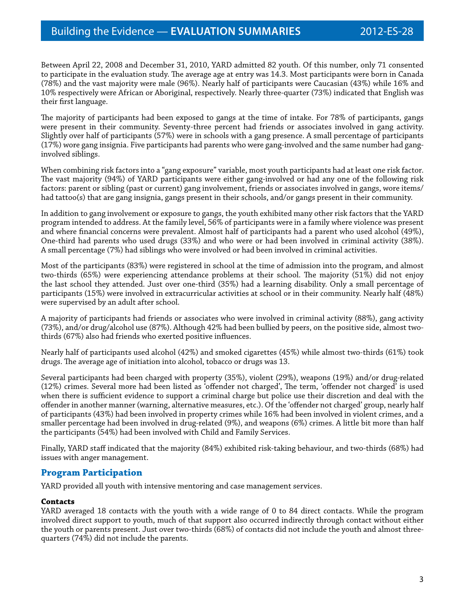Between April 22, 2008 and December 31, 2010, YARD admitted 82 youth. Of this number, only 71 consented to participate in the evaluation study. The average age at entry was 14.3. Most participants were born in Canada (78%) and the vast majority were male (96%). Nearly half of participants were Caucasian (43%) while 16% and 10% respectively were African or Aboriginal, respectively. Nearly three-quarter (73%) indicated that English was their first language.

The majority of participants had been exposed to gangs at the time of intake. For 78% of participants, gangs were present in their community. Seventy-three percent had friends or associates involved in gang activity. Slightly over half of participants (57%) were in schools with a gang presence. A small percentage of participants (17%) wore gang insignia. Five participants had parents who were gang-involved and the same number had ganginvolved siblings.

When combining risk factors into a "gang exposure" variable, most youth participants had at least one risk factor. The vast majority (94%) of YARD participants were either gang-involved or had any one of the following risk factors: parent or sibling (past or current) gang involvement, friends or associates involved in gangs, wore items/ had tattoo(s) that are gang insignia, gangs present in their schools, and/or gangs present in their community.

In addition to gang involvement or exposure to gangs, the youth exhibited many other risk factors that the YARD program intended to address. At the family level, 56% of participants were in a family where violence was present and where financial concerns were prevalent. Almost half of participants had a parent who used alcohol (49%), One-third had parents who used drugs (33%) and who were or had been involved in criminal activity (38%). A small percentage (7%) had siblings who were involved or had been involved in criminal activities.

Most of the participants (83%) were registered in school at the time of admission into the program, and almost two-thirds (65%) were experiencing attendance problems at their school. The majority (51%) did not enjoy the last school they attended. Just over one-third (35%) had a learning disability. Only a small percentage of participants (15%) were involved in extracurricular activities at school or in their community. Nearly half (48%) were supervised by an adult after school.

A majority of participants had friends or associates who were involved in criminal activity (88%), gang activity (73%), and/or drug/alcohol use (87%). Although 42% had been bullied by peers, on the positive side, almost twothirds (67%) also had friends who exerted positive influences.

Nearly half of participants used alcohol (42%) and smoked cigarettes (45%) while almost two-thirds (61%) took drugs. The average age of initiation into alcohol, tobacco or drugs was 13.

Several participants had been charged with property (35%), violent (29%), weapons (19%) and/or drug-related (12%) crimes. Several more had been listed as 'offender not charged', The term, 'offender not charged' is used when there is sufficient evidence to support a criminal charge but police use their discretion and deal with the offender in another manner (warning, alternative measures, etc.). Of the 'offender not charged' group, nearly half of participants (43%) had been involved in property crimes while 16% had been involved in violent crimes, and a smaller percentage had been involved in drug-related (9%), and weapons (6%) crimes. A little bit more than half the participants (54%) had been involved with Child and Family Services.

Finally, YARD staff indicated that the majority (84%) exhibited risk-taking behaviour, and two-thirds (68%) had issues with anger management.

## **Program Participation**

YARD provided all youth with intensive mentoring and case management services.

#### **Contacts**

YARD averaged 18 contacts with the youth with a wide range of 0 to 84 direct contacts. While the program involved direct support to youth, much of that support also occurred indirectly through contact without either the youth or parents present. Just over two-thirds (68%) of contacts did not include the youth and almost threequarters (74%) did not include the parents.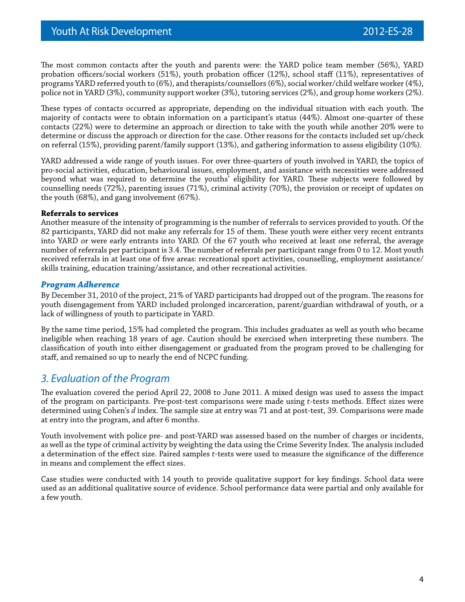The most common contacts after the youth and parents were: the YARD police team member (56%), YARD probation officers/social workers (51%), youth probation officer (12%), school staff (11%), representatives of programs YARD referred youth to (6%), and therapists/counsellors (6%), social worker/child welfare worker (4%), police not in YARD (3%), community support worker (3%), tutoring services (2%), and group home workers (2%).

These types of contacts occurred as appropriate, depending on the individual situation with each youth. The majority of contacts were to obtain information on a participant's status (44%). Almost one-quarter of these contacts (22%) were to determine an approach or direction to take with the youth while another 20% were to determine or discuss the approach or direction for the case. Other reasons for the contacts included set up/check on referral (15%), providing parent/family support (13%), and gathering information to assess eligibility (10%).

YARD addressed a wide range of youth issues. For over three-quarters of youth involved in YARD, the topics of pro-social activities, education, behavioural issues, employment, and assistance with necessities were addressed beyond what was required to determine the youths' eligibility for YARD. These subjects were followed by counselling needs (72%), parenting issues (71%), criminal activity (70%), the provision or receipt of updates on the youth (68%), and gang involvement (67%).

#### **Referrals to services**

Another measure of the intensity of programming is the number of referrals to services provided to youth. Of the 82 participants, YARD did not make any referrals for 15 of them. These youth were either very recent entrants into YARD or were early entrants into YARD. Of the 67 youth who received at least one referral, the average number of referrals per participant is 3.4. The number of referrals per participant range from 0 to 12. Most youth received referrals in at least one of five areas: recreational sport activities, counselling, employment assistance/ skills training, education training/assistance, and other recreational activities.

#### *Program Adherence*

By December 31, 2010 of the project, 21% of YARD participants had dropped out of the program. The reasons for youth disengagement from YARD included prolonged incarceration, parent/guardian withdrawal of youth, or a lack of willingness of youth to participate in YARD.

By the same time period, 15% had completed the program. This includes graduates as well as youth who became ineligible when reaching 18 years of age. Caution should be exercised when interpreting these numbers. The classification of youth into either disengagement or graduated from the program proved to be challenging for staff, and remained so up to nearly the end of NCPC funding.

## *3. Evaluation of the Program*

The evaluation covered the period April 22, 2008 to June 2011. A mixed design was used to assess the impact of the program on participants. Pre-post-test comparisons were made using *t*-tests methods. Effect sizes were determined using Cohen's *d* index. The sample size at entry was 71 and at post-test, 39. Comparisons were made at entry into the program, and after 6 months.

Youth involvement with police pre- and post-YARD was assessed based on the number of charges or incidents, as well as the type of criminal activity by weighting the data using the Crime Severity Index. The analysis included a determination of the effect size. Paired samples *t*-tests were used to measure the significance of the difference in means and complement the effect sizes.

Case studies were conducted with 14 youth to provide qualitative support for key findings. School data were used as an additional qualitative source of evidence. School performance data were partial and only available for a few youth.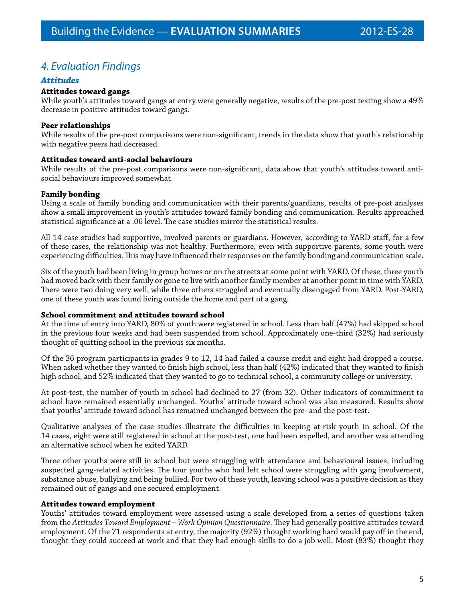## *4. Evaluation Findings*

### *Attitudes*

#### **Attitudes toward gangs**

While youth's attitudes toward gangs at entry were generally negative, results of the pre-post testing show a 49% decrease in positive attitudes toward gangs.

#### **Peer relationships**

While results of the pre-post comparisons were non-significant, trends in the data show that youth's relationship with negative peers had decreased.

#### **Attitudes toward anti-social behaviours**

While results of the pre-post comparisons were non-significant, data show that youth's attitudes toward antisocial behaviours improved somewhat.

#### **Family bonding**

Using a scale of family bonding and communication with their parents/guardians, results of pre-post analyses show a small improvement in youth's attitudes toward family bonding and communication. Results approached statistical significance at a .06 level. The case studies mirror the statistical results.

All 14 case studies had supportive, involved parents or guardians. However, according to YARD staff, for a few of these cases, the relationship was not healthy. Furthermore, even with supportive parents, some youth were experiencing difficulties. This may have influenced their responses on the family bonding and communication scale.

Six of the youth had been living in group homes or on the streets at some point with YARD. Of these, three youth had moved back with their family or gone to live with another family member at another point in time with YARD. There were two doing very well, while three others struggled and eventually disengaged from YARD. Post-YARD, one of these youth was found living outside the home and part of a gang.

#### **School commitment and attitudes toward school**

At the time of entry into YARD, 80% of youth were registered in school. Less than half (47%) had skipped school in the previous four weeks and had been suspended from school. Approximately one-third (32%) had seriously thought of quitting school in the previous six months.

Of the 36 program participants in grades 9 to 12, 14 had failed a course credit and eight had dropped a course. When asked whether they wanted to finish high school, less than half (42%) indicated that they wanted to finish high school, and 52% indicated that they wanted to go to technical school, a community college or university.

At post-test, the number of youth in school had declined to 27 (from 32). Other indicators of commitment to school have remained essentially unchanged. Youths' attitude toward school was also measured. Results show that youths' attitude toward school has remained unchanged between the pre- and the post-test.

Qualitative analyses of the case studies illustrate the difficulties in keeping at-risk youth in school. Of the 14 cases, eight were still registered in school at the post-test, one had been expelled, and another was attending an alternative school when he exited YARD.

Three other youths were still in school but were struggling with attendance and behavioural issues, including suspected gang-related activities. The four youths who had left school were struggling with gang involvement, substance abuse, bullying and being bullied. For two of these youth, leaving school was a positive decision as they remained out of gangs and one secured employment.

#### **Attitudes toward employment**

Youths' attitudes toward employment were assessed using a scale developed from a series of questions taken from the *Attitudes Toward Employment – Work Opinion Questionnaire*. They had generally positive attitudes toward employment. Of the 71 respondents at entry, the majority (92%) thought working hard would pay off in the end, thought they could succeed at work and that they had enough skills to do a job well. Most (83%) thought they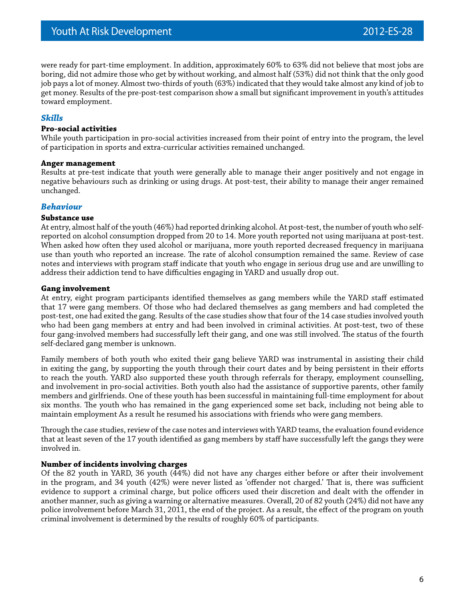were ready for part-time employment. In addition, approximately 60% to 63% did not believe that most jobs are boring, did not admire those who get by without working, and almost half (53%) did not think that the only good job pays a lot of money. Almost two-thirds of youth (63%) indicated that they would take almost any kind of job to get money. Results of the pre-post-test comparison show a small but significant improvement in youth's attitudes toward employment.

#### *Skills*

#### **Pro-social activities**

While youth participation in pro-social activities increased from their point of entry into the program, the level of participation in sports and extra-curricular activities remained unchanged.

#### **Anger management**

Results at pre-test indicate that youth were generally able to manage their anger positively and not engage in negative behaviours such as drinking or using drugs. At post-test, their ability to manage their anger remained unchanged.

#### *Behaviour*

#### **Substance use**

At entry, almost half of the youth (46%) had reported drinking alcohol. At post-test, the number of youth who selfreported on alcohol consumption dropped from 20 to 14. More youth reported not using marijuana at post-test. When asked how often they used alcohol or marijuana, more youth reported decreased frequency in marijuana use than youth who reported an increase. The rate of alcohol consumption remained the same. Review of case notes and interviews with program staff indicate that youth who engage in serious drug use and are unwilling to address their addiction tend to have difficulties engaging in YARD and usually drop out.

#### **Gang involvement**

At entry, eight program participants identified themselves as gang members while the YARD staff estimated that 17 were gang members. Of those who had declared themselves as gang members and had completed the post-test, one had exited the gang. Results of the case studies show that four of the 14 case studies involved youth who had been gang members at entry and had been involved in criminal activities. At post-test, two of these four gang-involved members had successfully left their gang, and one was still involved. The status of the fourth self-declared gang member is unknown.

Family members of both youth who exited their gang believe YARD was instrumental in assisting their child in exiting the gang, by supporting the youth through their court dates and by being persistent in their efforts to reach the youth. YARD also supported these youth through referrals for therapy, employment counselling, and involvement in pro-social activities. Both youth also had the assistance of supportive parents, other family members and girlfriends. One of these youth has been successful in maintaining full-time employment for about six months. The youth who has remained in the gang experienced some set back, including not being able to maintain employment As a result he resumed his associations with friends who were gang members.

Through the case studies, review of the case notes and interviews with YARD teams, the evaluation found evidence that at least seven of the 17 youth identified as gang members by staff have successfully left the gangs they were involved in.

#### **Number of incidents involving charges**

Of the 82 youth in YARD, 36 youth (44%) did not have any charges either before or after their involvement in the program, and 34 youth (42%) were never listed as 'offender not charged.' That is, there was sufficient evidence to support a criminal charge, but police officers used their discretion and dealt with the offender in another manner, such as giving a warning or alternative measures. Overall, 20 of 82 youth (24%) did not have any police involvement before March 31, 2011, the end of the project. As a result, the effect of the program on youth criminal involvement is determined by the results of roughly 60% of participants.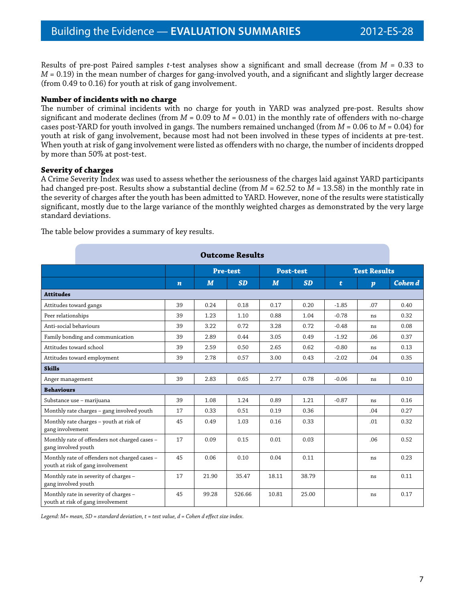Results of pre-post Paired samples *t*-test analyses show a significant and small decrease (from *M* = 0.33 to *M* = 0.19) in the mean number of charges for gang-involved youth, and a significant and slightly larger decrease (from 0.49 to 0.16) for youth at risk of gang involvement.

#### **Number of incidents with no charge**

The number of criminal incidents with no charge for youth in YARD was analyzed pre-post. Results show significant and moderate declines (from *M* = 0.09 to *M* = 0.01) in the monthly rate of offenders with no-charge cases post-YARD for youth involved in gangs. The numbers remained unchanged (from *M* = 0.06 to *M* = 0.04) for youth at risk of gang involvement, because most had not been involved in these types of incidents at pre-test. When youth at risk of gang involvement were listed as offenders with no charge, the number of incidents dropped by more than 50% at post-test.

#### **Severity of charges**

A Crime Severity Index was used to assess whether the seriousness of the charges laid against YARD participants had changed pre-post. Results show a substantial decline (from *M* = 62.52 to *M* = 13.58) in the monthly rate in the severity of charges after the youth has been admitted to YARD. However, none of the results were statistically significant, mostly due to the large variance of the monthly weighted charges as demonstrated by the very large standard deviations.

The table below provides a summary of key results.

| <b>Outcome Results</b>                                                             |                  |                 |           |                  |           |                     |                  |         |
|------------------------------------------------------------------------------------|------------------|-----------------|-----------|------------------|-----------|---------------------|------------------|---------|
|                                                                                    |                  | <b>Pre-test</b> |           | <b>Post-test</b> |           | <b>Test Results</b> |                  |         |
|                                                                                    | $\boldsymbol{n}$ | M               | <b>SD</b> | M                | <b>SD</b> | t                   | $\boldsymbol{p}$ | Cohen d |
| <b>Attitudes</b>                                                                   |                  |                 |           |                  |           |                     |                  |         |
| Attitudes toward gangs                                                             | 39               | 0.24            | 0.18      | 0.17             | 0.20      | $-1.85$             | .07              | 0.40    |
| Peer relationships                                                                 | 39               | 1.23            | 1.10      | 0.88             | 1.04      | $-0.78$             | ns               | 0.32    |
| Anti-social behaviours                                                             | 39               | 3.22            | 0.72      | 3.28             | 0.72      | $-0.48$             | ns               | 0.08    |
| Family bonding and communication                                                   | 39               | 2.89            | 0.44      | 3.05             | 0.49      | $-1.92$             | .06              | 0.37    |
| Attitudes toward school                                                            | 39               | 2.59            | 0.50      | 2.65             | 0.62      | $-0.80$             | ns               | 0.13    |
| Attitudes toward employment                                                        | 39               | 2.78            | 0.57      | 3.00             | 0.43      | $-2.02$             | .04              | 0.35    |
| <b>Skills</b>                                                                      |                  |                 |           |                  |           |                     |                  |         |
| Anger management                                                                   | 39               | 2.83            | 0.65      | 2.77             | 0.78      | $-0.06$             | ns               | 0.10    |
| <b>Behaviours</b>                                                                  |                  |                 |           |                  |           |                     |                  |         |
| Substance use - marijuana                                                          | 39               | 1.08            | 1.24      | 0.89             | 1.21      | $-0.87$             | ns               | 0.16    |
| Monthly rate charges - gang involved youth                                         | 17               | 0.33            | 0.51      | 0.19             | 0.36      |                     | .04              | 0.27    |
| Monthly rate charges - youth at risk of<br>gang involvement                        | 45               | 0.49            | 1.03      | 0.16             | 0.33      |                     | .01              | 0.32    |
| Monthly rate of offenders not charged cases -<br>gang involved youth               | 17               | 0.09            | 0.15      | 0.01             | 0.03      |                     | .06              | 0.52    |
| Monthly rate of offenders not charged cases -<br>youth at risk of gang involvement | 45               | 0.06            | 0.10      | 0.04             | 0.11      |                     | ns               | 0.23    |
| Monthly rate in severity of charges -<br>gang involved youth                       | 17               | 21.90           | 35.47     | 18.11            | 38.79     |                     | ns               | 0.11    |
| Monthly rate in severity of charges -<br>youth at risk of gang involvement         | 45               | 99.28           | 526.66    | 10.81            | 25.00     |                     | ns               | 0.17    |

*Legend: M= mean, SD = standard deviation, t = test value, d = Cohen d effect size index.*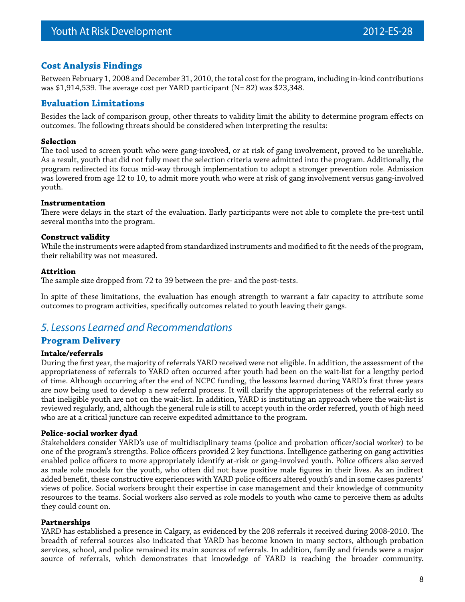## **Cost Analysis Findings**

Between February 1, 2008 and December 31, 2010, the total cost for the program, including in-kind contributions was \$1,914,539. The average cost per YARD participant (N= 82) was \$23,348.

## **Evaluation Limitations**

Besides the lack of comparison group, other threats to validity limit the ability to determine program effects on outcomes. The following threats should be considered when interpreting the results:

#### **Selection**

The tool used to screen youth who were gang-involved, or at risk of gang involvement, proved to be unreliable. As a result, youth that did not fully meet the selection criteria were admitted into the program. Additionally, the program redirected its focus mid-way through implementation to adopt a stronger prevention role. Admission was lowered from age 12 to 10, to admit more youth who were at risk of gang involvement versus gang-involved youth.

#### **Instrumentation**

There were delays in the start of the evaluation. Early participants were not able to complete the pre-test until several months into the program.

#### **Construct validity**

While the instruments were adapted from standardized instruments and modified to fit the needs of the program, their reliability was not measured.

#### **Attrition**

The sample size dropped from 72 to 39 between the pre- and the post-tests.

In spite of these limitations, the evaluation has enough strength to warrant a fair capacity to attribute some outcomes to program activities, specifically outcomes related to youth leaving their gangs.

## *5. Lessons Learned and Recommendations*

### **Program Delivery**

#### **Intake/referrals**

During the first year, the majority of referrals YARD received were not eligible. In addition, the assessment of the appropriateness of referrals to YARD often occurred after youth had been on the wait-list for a lengthy period of time. Although occurring after the end of NCPC funding, the lessons learned during YARD's first three years are now being used to develop a new referral process. It will clarify the appropriateness of the referral early so that ineligible youth are not on the wait-list. In addition, YARD is instituting an approach where the wait-list is reviewed regularly, and, although the general rule is still to accept youth in the order referred, youth of high need who are at a critical juncture can receive expedited admittance to the program.

#### **Police-social worker dyad**

Stakeholders consider YARD's use of multidisciplinary teams (police and probation officer/social worker) to be one of the program's strengths. Police officers provided 2 key functions. Intelligence gathering on gang activities enabled police officers to more appropriately identify at-risk or gang-involved youth. Police officers also served as male role models for the youth, who often did not have positive male figures in their lives. As an indirect added benefit, these constructive experiences with YARD police officers altered youth's and in some cases parents' views of police. Social workers brought their expertise in case management and their knowledge of community resources to the teams. Social workers also served as role models to youth who came to perceive them as adults they could count on.

#### **Partnerships**

YARD has established a presence in Calgary, as evidenced by the 208 referrals it received during 2008-2010. The breadth of referral sources also indicated that YARD has become known in many sectors, although probation services, school, and police remained its main sources of referrals. In addition, family and friends were a major source of referrals, which demonstrates that knowledge of YARD is reaching the broader community.